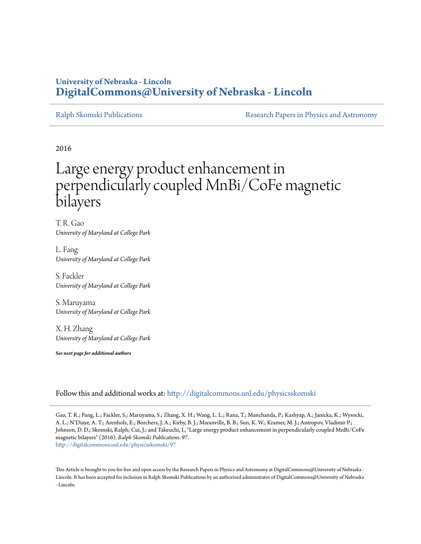## **University of Nebraska - Lincoln [DigitalCommons@University of Nebraska - Lincoln](http://digitalcommons.unl.edu?utm_source=digitalcommons.unl.edu%2Fphysicsskomski%2F97&utm_medium=PDF&utm_campaign=PDFCoverPages)**

[Ralph Skomski Publications](http://digitalcommons.unl.edu/physicsskomski?utm_source=digitalcommons.unl.edu%2Fphysicsskomski%2F97&utm_medium=PDF&utm_campaign=PDFCoverPages) **[Research Papers in Physics and Astronomy](http://digitalcommons.unl.edu/physicsresearch?utm_source=digitalcommons.unl.edu%2Fphysicsskomski%2F97&utm_medium=PDF&utm_campaign=PDFCoverPages)** Research Papers in Physics and Astronomy

2016

# Large energy product enhancement in perpendicularly coupled MnBi/CoFe magnetic bilayers

T. R. Gao *University of Maryland at College Park*

L. Fang *University of Maryland at College Park*

S. Fackler *University of Maryland at College Park*

S. Maruyama *University of Maryland at College Park*

X. H. Zhang *University of Maryland at College Park*

*See next page for additional authors*

Follow this and additional works at: [http://digitalcommons.unl.edu/physicsskomski](http://digitalcommons.unl.edu/physicsskomski?utm_source=digitalcommons.unl.edu%2Fphysicsskomski%2F97&utm_medium=PDF&utm_campaign=PDFCoverPages)

Gao, T. R.; Fang, L.; Fackler, S.; Maruyama, S.; Zhang, X. H.; Wang, L. L.; Rana, T.; Manchanda, P.; Kashyap, A.; Janicka, K.; Wysocki, A. L.; N'Diaye, A. T.; Arenholz, E.; Borchers, J. A.; Kirby, B. J.; Maranville, B. B.; Sun, K. W.; Kramer, M. J.; Antropov, Vladimir P.; Johnson, D. D.; Skomski, Ralph; Cui, J.; and Takeuchi, I., "Large energy product enhancement in perpendicularly coupled MnBi/CoFe magnetic bilayers" (2016). *Ralph Skomski Publications*. 97. [http://digitalcommons.unl.edu/physicsskomski/97](http://digitalcommons.unl.edu/physicsskomski/97?utm_source=digitalcommons.unl.edu%2Fphysicsskomski%2F97&utm_medium=PDF&utm_campaign=PDFCoverPages)

This Article is brought to you for free and open access by the Research Papers in Physics and Astronomy at DigitalCommons@University of Nebraska - Lincoln. It has been accepted for inclusion in Ralph Skomski Publications by an authorized administrator of DigitalCommons@University of Nebraska - Lincoln.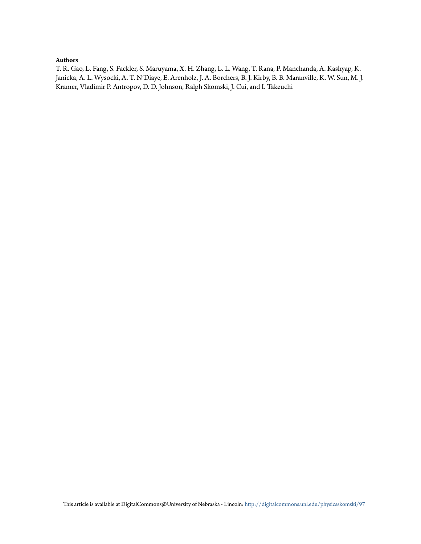### **Authors**

T. R. Gao, L. Fang, S. Fackler, S. Maruyama, X. H. Zhang, L. L. Wang, T. Rana, P. Manchanda, A. Kashyap, K. Janicka, A. L. Wysocki, A. T. N'Diaye, E. Arenholz, J. A. Borchers, B. J. Kirby, B. B. Maranville, K. W. Sun, M. J. Kramer, Vladimir P. Antropov, D. D. Johnson, Ralph Skomski, J. Cui, and I. Takeuchi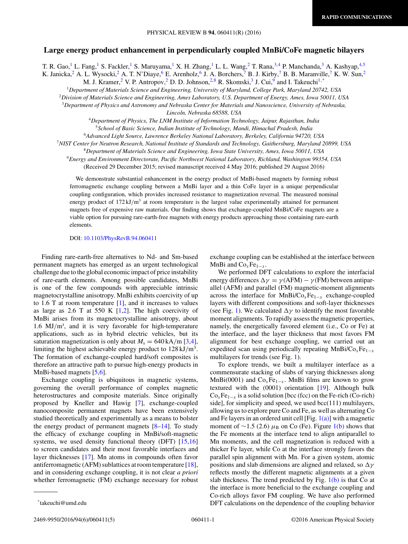### **Large energy product enhancement in perpendicularly coupled MnBi/CoFe magnetic bilayers**

T. R. Gao,<sup>1</sup> L. Fang,<sup>1</sup> S. Fackler,<sup>1</sup> S. Maruyama,<sup>1</sup> X. H. Zhang,<sup>1</sup> L. L. Wang,<sup>2</sup> T. Rana,<sup>3,4</sup> P. Manchanda,<sup>3</sup> A. Kashyap,<sup>4,5</sup> K. Janicka,  $^2$  A. L. Wysocki,  $^2$  A. T. N'Diaye,  $^6$  E. Arenholz,  $^6$  J. A. Borchers,  $^7$  B. J. Kirby,  $^7$  B. B. Maranville,  $^7$  K. W. Sun,  $^2$ 

M. J. Kramer, <sup>2</sup> V. P. Antropov, <sup>2</sup> D. D. Johnson, <sup>2,8</sup> R. Skomski, <sup>3</sup> J. Cui, <sup>9</sup> and I. Takeuchi<sup>1,\*</sup>

<sup>1</sup>*Department of Materials Science and Engineering, University of Maryland, College Park, Maryland 20742, USA*

<sup>2</sup>*Division of Materials Science and Engineering, Ames Laboratory, U.S. Department of Energy, Ames, Iowa 50011, USA*

<sup>3</sup>*Department of Physics and Astronomy and Nebraska Center for Materials and Nanoscience, University of Nebraska,*

*Lincoln, Nebraska 68588, USA*

<sup>4</sup>*Department of Physics, The LNM Institute of Information Technology, Jaipur, Rajasthan, India* <sup>5</sup>*School of Basic Science, Indian Institute of Technology, Mandi, Himachal Pradesh, India*

<sup>6</sup>*Advanced Light Source, Lawrence Berkeley National Laboratory, Berkeley, California 94720, USA*

<sup>7</sup>*NIST Center for Neutron Research, National Institute of Standards and Technology, Gaithersburg, Maryland 20899, USA*

<sup>8</sup>*Department of Materials Science and Engineering, Iowa State University, Ames, Iowa 50011, USA*

<sup>9</sup>*Energy and Environment Directorate, Pacific Northwest National Laboratory, Richland, Washington 99354, USA* (Received 29 December 2015; revised manuscript received 4 May 2016; published 29 August 2016)

We demonstrate substantial enhancement in the energy product of MnBi-based magnets by forming robust ferromagnetic exchange coupling between a MnBi layer and a thin CoFe layer in a unique perpendicular coupling configuration, which provides increased resistance to magnetization reversal. The measured nominal energy product of 172 kJ/m<sup>3</sup> at room temperature is the largest value experimentally attained for permanent magnets free of expensive raw materials. Our finding shows that exchange-coupled MnBi/CoFe magnets are a viable option for pursuing rare-earth-free magnets with energy products approaching those containing rare-earth elements.

DOI: [10.1103/PhysRevB.94.060411](http://dx.doi.org/10.1103/PhysRevB.94.060411)

Finding rare-earth-free alternatives to Nd- and Sm-based permanent magnets has emerged as an urgent technological challenge due to the global economic impact of price instability of rare-earth elements. Among possible candidates, MnBi is one of the few compounds with appreciable intrinsic magnetocrystalline anisotropy. MnBi exhibits coercivity of up to 1.6 T at room temperature [\[1\]](#page-5-0), and it increases to values as large as  $2.6$  T at  $550$  K  $[1,2]$ . The high coercivity of MnBi arises from its magnetocrystalline anisotropy, about 1.6 MJ/m<sup>3</sup>, and it is very favorable for high-temperature applications, such as in hybrid electric vehicles, but its saturation magnetization is only about  $M_s = 640 \text{ kA/m}$  [\[3,4\]](#page-5-0), limiting the highest achievable energy product to 128 kJ*/*m3. The formation of exchange-coupled hard/soft composites is therefore an attractive path to pursue high-energy products in MnBi-based magnets [\[5,6\]](#page-6-0).

Exchange coupling is ubiquitous in magnetic systems, governing the overall performance of complex magnetic heterostructures and composite materials. Since originally proposed by Kneller and Hawig [\[7\]](#page-6-0), exchange-coupled nanocomposite permanent magnets have been extensively studied theoretically and experimentally as a means to bolster the energy product of permanent magnets  $[8-14]$ . To study the efficacy of exchange coupling in MnBi/soft-magnetic systems, we used density functional theory (DFT) [\[15,16\]](#page-6-0) to screen candidates and their most favorable interfaces and layer thicknesses [\[17\]](#page-6-0). Mn atoms in compounds often favor antiferromagnetic (AFM) sublattices at room temperature [\[18\]](#page-6-0), and in considering exchange coupling, it is not clear *a priori* whether ferromagnetic (FM) exchange necessary for robust exchange coupling can be established at the interface between MnBi and  $Co<sub>x</sub>Fe<sub>1-x</sub>$ .

We performed DFT calculations to explore the interfacial energy differences  $\Delta \gamma = \gamma (AH) - \gamma (FM)$  between antiparallel (AFM) and parallel (FM) magnetic-moment alignments across the interface for MnBi/Co*x*Fe1−*<sup>x</sup>* exchange-coupled layers with different compositions and soft-layer thicknesses (see Fig. [1\)](#page-3-0). We calculated  $\Delta \gamma$  to identify the most favorable moment alignments. To rapidly assess the magnetic properties, namely, the energetically favored element (i.e., Co or Fe) at the interface, and the layer thickness that most favors FM alignment for best exchange coupling, we carried out an expedited scan using periodically repeating MnBi/Co*x*Fe1−*<sup>x</sup>* multilayers for trends (see Fig. [1\)](#page-3-0).

To explore trends, we built a multilayer interface as a commensurate stacking of slabs of varying thicknesses along MnBi(0001) and  $Co<sub>x</sub>Fe<sub>1-x</sub>$ . MnBi films are known to grow textured with the (0001) orientation [\[19\]](#page-6-0). Although bulk  $Co<sub>x</sub>Fe<sub>1-x</sub>$  is a solid solution [bcc (fcc) on the Fe-rich (Co-rich) side], for simplicity and speed, we used bcc(111) multilayers, allowing us to explore pure Co and Fe, as well as alternating Co and Fe layers in an ordered unit cell [Fig.  $1(a)$ ] with a magnetic moment of  $\sim$ 1.5 (2.6)  $\mu$ <sub>B</sub> on Co (Fe). Figure [1\(b\)](#page-3-0) shows that the Fe moments at the interface tend to align antiparallel to Mn moments, and the cell magnetization is reduced with a thicker Fe layer, while Co at the interface strongly favors the parallel spin alignment with Mn. For a given system, atomic positions and slab dimensions are aligned and relaxed, so  $Δγ$ reflects mostly the different magnetic alignments at a given slab thickness. The trend predicted by Fig.  $1(b)$  is that Co at the interface is more beneficial to the exchange coupling and Co-rich alloys favor FM coupling. We have also performed DFT calculations on the dependence of the coupling behavior

\*takeuchi@umd.edu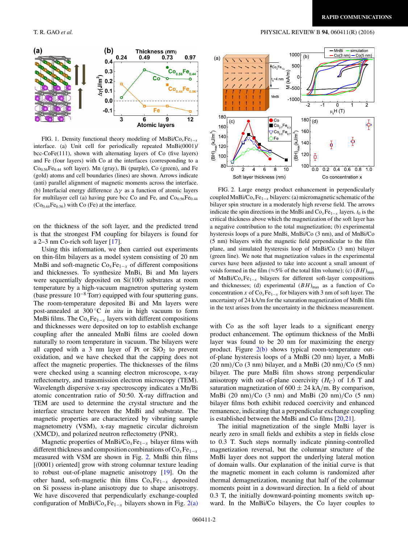

FIG. 1. Density functional theory modeling of MnBi/Co*x*Fe1−*<sup>x</sup>* interface. (a) Unit cell for periodically repeated MnBi(0001)/ bcc-CoFe(111), shown with alternating layers of Co (five layers) and Fe (four layers) with Co at the interfaces (corresponding to a Co<sub>0.56</sub>Fe<sub>0.44</sub> soft layer). Mn (gray), Bi (purple), Co (green), and Fe (gold) atoms and cell boundaries (lines) are shown. Arrows indicate (anti) parallel alignment of magnetic moments across the interface. (b) Interfacial energy difference  $\Delta \gamma$  as a function of atomic layers for multilayer cell (a) having pure bcc Co and Fe, and  $Co<sub>0.56</sub>Fe<sub>0.44</sub>$  $(Co<sub>0.44</sub>Fe<sub>0.56</sub>)$  with Co (Fe) at the interface.

on the thickness of the soft layer, and the predicted trend is that the strongest FM coupling for bilayers is found for a 2–3 nm Co-rich soft layer [\[17\]](#page-6-0).

Using this information, we then carried out experiments on thin-film bilayers as a model system consisting of 20 nm MnBi and soft-magnetic Co<sub>x</sub>Fe<sub>1−*x*</sub> of different compositions and thicknesses. To synthesize MnBi, Bi and Mn layers were sequentially deposited on Si(100) substrates at room temperature by a high-vacuum magnetron sputtering system (base pressure 10−<sup>8</sup> Torr) equipped with four sputtering guns. The room-temperature deposited Bi and Mn layers were post-annealed at 300 ◦C *in situ* in high vacuum to form MnBi films. The  $Co<sub>x</sub>Fe<sub>1-x</sub>$  layers with different compositions and thicknesses were deposited on top to establish exchange coupling after the annealed MnBi films are cooled down naturally to room temperature in vacuum. The bilayers were all capped with a 3 nm layer of Pt or  $SiO<sub>2</sub>$  to prevent oxidation, and we have checked that the capping does not affect the magnetic properties. The thicknesses of the films were checked using a scanning electron microscope, x-ray reflectometry, and transmission electron microscopy (TEM). Wavelength dispersive x-ray spectroscopy indicates a Mn/Bi atomic concentration ratio of 50:50. X-ray diffraction and TEM are used to determine the crystal structure and the interface structure between the MnBi and substrate. The magnetic properties are characterized by vibrating sample magnetometry (VSM), x-ray magnetic circular dichroism (XMCD), and polarized neutron reflectometry (PNR).

Magnetic properties of MnBi/Co<sub>x</sub>Fe<sub>1−*x*</sub> bilayer films with different thickness and composition combinations of  $\text{Co}_x\text{Fe}_{1-x}$ measured with VSM are shown in Fig. 2. MnBi thin films [(0001) oriented] grow with strong columnar texture leading to robust out-of-plane magnetic anisotropy [\[19\]](#page-6-0). On the other hand, soft-magnetic thin films Co*x*Fe1−*<sup>x</sup>* deposited on Si possess in-plane anisotropy due to shape anisotropy. We have discovered that perpendicularly exchange-coupled configuration of MnBi/Co*x*Fe1−*<sup>x</sup>* bilayers shown in Fig. 2(a)

<span id="page-3-0"></span>T. R. GAO *et al.* PHYSICAL REVIEW B **94**, 060411(R) (2016)



FIG. 2. Large energy product enhancement in perpendicularly coupled MnBi/ $\text{Co}_x\text{Fe}_{1-x}$  bilayers: (a) micromagnetic schematic of the bilayer spin structure in a moderately high reverse field. The arrows indicate the spin directions in the MnBi and  $\text{Co}_x\text{Fe}_{1-x}$  layers.  $t_0$  is the critical thickness above which the magnetization of the soft layer has a negative contribution to the total magnetization; (b) experimental hysteresis loops of a pure MnBi, MnBi/Co (3 nm), and of MnBi/Co (5 nm) bilayers with the magnetic field perpendicular to the film plane, and simulated hysteresis loop of MnBi/Co (3 nm) bilayer (green line). We note that magnetization values in the experimental curves have been adjusted to take into account a small amount of voids formed in the film ( $\approx$ 5% of the total film volume); (c) (*BH*)<sub>max</sub> of MnBi/Co<sub>*x*</sub>Fe<sub>1−*x*</sub> bilayers for different soft-layer compositions and thicknesses; (d) experimental  $(BH)_{\text{max}}$  as a function of Co concentration *x* of  $\text{Co}_x\text{Fe}_{1-x}$  for bilayers with 3 nm of soft layer. The uncertainty of 24 kA/m for the saturation magnetization of MnBi film in the text arises from the uncertainty in the thickness measurement.

with Co as the soft layer leads to a significant energy product enhancement. The optimum thickness of the MnBi layer was found to be 20 nm for maximizing the energy product. Figure 2(b) shows typical room-temperature outof-plane hysteresis loops of a MnBi (20 nm) layer, a MnBi (20 nm)*/*Co (3 nm) bilayer, and a MnBi (20 nm)*/*Co (5 nm) bilayer. The pure MnBi film shows strong perpendicular anisotropy with out-of-plane coercivity  $(H_C)$  of 1.6 T and saturation magnetization of  $600 \pm 24$  kA/m. By comparison, MnBi (20 nm)*/*Co (3 nm) and MnBi (20 nm)*/*Co (5 nm) bilayer films both exhibit reduced coercivity and enhanced remanence, indicating that a perpendicular exchange coupling is established between the MnBi and Co films [\[20,21\]](#page-6-0).

The initial magnetization of the single MnBi layer is nearly zero in small fields and exhibits a step in fields close to 0.3 T. Such steps normally indicate pinning-controlled magnetization reversal, but the columnar structure of the MnBi layer does not support the underlying lateral motion of domain walls. Our explanation of the initial curve is that the magnetic moment in each column is randomized after thermal demagnetization, meaning that half of the columnar moments point in a downward direction. In a field of about 0.3 T, the initially downward-pointing moments switch upward. In the MnBi/Co bilayers, the Co layer couples to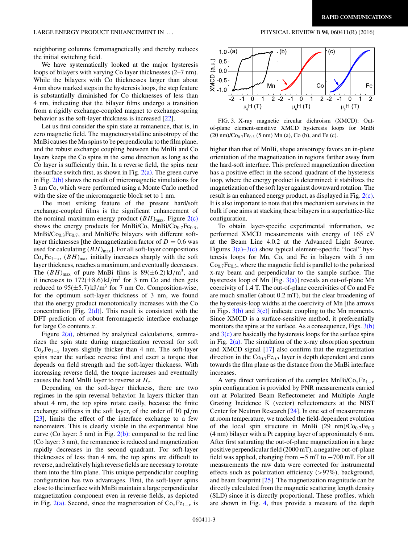neighboring columns ferromagnetically and thereby reduces the initial switching field.

We have systematically looked at the major hysteresis loops of bilayers with varying Co layer thicknesses (2–7 nm). While the bilayers with Co thicknesses larger than about 4 nm show marked steps in the hysteresis loops, the step feature is substantially diminished for Co thicknesses of less than 4 nm, indicating that the bilayer films undergo a transition from a rigidly exchange-coupled magnet to exchange-spring behavior as the soft-layer thickness is increased [\[22\]](#page-6-0).

Let us first consider the spin state at remanence, that is, in zero magnetic field. The magnetocrystalline anisotropy of the MnBi causes the Mn spins to be perpendicular to the film plane, and the robust exchange coupling between the MnBi and Co layers keeps the Co spins in the same direction as long as the Co layer is sufficiently thin. In a reverse field, the spins near the surface switch first, as shown in Fig.  $2(a)$ . The green curve in Fig. [2\(b\)](#page-3-0) shows the result of micromagnetic simulations for 3 nm Co, which were performed using a Monte Carlo method with the size of the micromagnetic block set to 1 nm.

The most striking feature of the present hard/soft exchange-coupled films is the significant enhancement of the nominal maximum energy product  $(BH)_{\text{max}}$ . Figure  $2(c)$ shows the energy products for MnBi/Co, MnBi/Co<sub>0.7</sub>Fe<sub>0.3</sub>, MnBi/Co<sub>0.3</sub>Fe<sub>0.7</sub>, and MnBi/Fe bilayers with different softlayer thicknesses [the demagnetization factor of  $D = 0.6$  was used for calculating  $(BH)_{\text{max}}$ ]. For all soft-layer compositions  $Co_xFe_{1-x}$ ,  $(BH)_{max}$  initially increases sharply with the soft layer thickness, reaches a maximum, and eventually decreases. The  $(BH)_{\text{max}}$  of pure MnBi films is  $89(\pm 6.2) \text{ kJ/m}^3$ , and it increases to  $172(\pm 8.6) \text{ kJ/m}^3$  for 3 nm Co and then gets reduced to  $95(\pm 5.7)$  kJ/m<sup>3</sup> for 7 nm Co. Composition-wise, for the optimum soft-layer thickness of 3 nm, we found that the energy product monotonically increases with the Co concentration [Fig.  $2(d)$ ]. This result is consistent with the DFT prediction of robust ferromagnetic interface exchange for large Co contents *x*.

Figure  $2(a)$ , obtained by analytical calculations, summarizes the spin state during magnetization reversal for soft  $Co<sub>x</sub>Fe<sub>1-x</sub>$  layers slightly thicker than 4 nm. The soft-layer spins near the surface reverse first and exert a torque that depends on field strength and the soft-layer thickness. With increasing reverse field, the torque increases and eventually causes the hard MnBi layer to reverse at *Hc*.

Depending on the soft-layer thickness, there are two regimes in the spin reversal behavior. In layers thicker than about 4 nm, the top spins rotate easily, because the finite exchange stiffness in the soft layer, of the order of 10 pJ*/*m [\[23\]](#page-6-0), limits the effect of the interface exchange to a few nanometers. This is clearly visible in the experimental blue curve (Co layer: 5 nm) in Fig.  $2(b)$ : compared to the red line (Co layer: 3 nm), the remanence is reduced and magnetization rapidly decreases in the second quadrant. For soft-layer thicknesses of less than 4 nm, the top spins are difficult to reverse, and relatively high reverse fields are necessary to rotate them into the film plane. This unique perpendicular coupling configuration has two advantages. First, the soft-layer spins close to the interface with MnBi maintain a large perpendicular magnetization component even in reverse fields, as depicted in Fig. [2\(a\).](#page-3-0) Second, since the magnetization of  $Co<sub>x</sub>Fe<sub>1-x</sub>$  is





FIG. 3. X-ray magnetic circular dichroism (XMCD): Outof-plane element-sensitive XMCD hysteresis loops for MnBi  $(20 \text{ nm})/\text{Co}_{0.7}\text{Fe}_{0.3}$  (5 nm) Mn (a), Co (b), and Fe (c).

higher than that of MnBi, shape anisotropy favors an in-plane orientation of the magnetization in regions farther away from the hard-soft interface. This preferred magnetization direction has a positive effect in the second quadrant of the hysteresis loop, where the energy product is determined: it stabilizes the magnetization of the soft layer against downward rotation. The result is an enhanced energy product, as displayed in Fig. [2\(c\).](#page-3-0) It is also important to note that this mechanism survives in the bulk if one aims at stacking these bilayers in a superlattice-like configuration.

To obtain layer-specific experimental information, we performed XMCD measurements with energy of 165 eV at the Beam Line 4.0.2 at the Advanced Light Source. Figures  $3(a)-3(c)$  show typical element-specific "local" hysteresis loops for Mn, Co, and Fe in bilayers with 5 nm  $Co<sub>0.7</sub>Fe<sub>0.3</sub>$ , where the magnetic field is parallel to the polarized x-ray beam and perpendicular to the sample surface. The hysteresis loop of Mn [Fig.  $3(a)$ ] reveals an out-of-plane Mn coercivity of 1.4 T. The out-of-plane coercivities of Co and Fe are much smaller (about 0.2 mT), but the clear broadening of the hysteresis-loop widths at the coercivity of Mn [the arrows in Figs.  $3(b)$  and  $3(c)$ ] indicate coupling to the Mn moments. Since XMCD is a surface-sensitive method, it preferentially monitors the spins at the surface. As a consequence, Figs.  $3(b)$ and  $3(c)$  are basically the hysteresis loops for the surface spins in Fig.  $2(a)$ . The simulation of the x-ray absorption spectrum and XMCD signal [\[17\]](#page-6-0) also confirm that the magnetization direction in the  $Co<sub>0.7</sub>Fe<sub>0.3</sub>$  layer is depth dependent and cants towards the film plane as the distance from the MnBi interface increases.

A very direct verification of the complex MnBi/Co*x*Fe1−*<sup>x</sup>* spin configuration is provided by PNR measurements carried out at Polarized Beam Reflectometer and Multiple Angle Grazing Incidence K (vector) reflectometers at the NIST Center for Neutron Research [\[24\]](#page-6-0). In one set of measurements at room temperature, we tracked the field-dependent evolution of the local spin structure in MnBi  $(29 \text{ nm})/\text{Co}_{0.7}\text{Fe}_{0.3}$ (4 nm) bilayer with a Pt capping layer of approximately 6 nm. After first saturating the out-of-plane magnetization in a large positive perpendicular field (2000 mT), a negative out-of-plane field was applied, changing from −5 mT to −700 mT. For all measurements the raw data were corrected for instrumental effects such as polarization efficiency (*>*97%), background, and beam footprint  $[25]$ . The magnetization magnitude can be directly calculated from the magnetic scattering length density (SLD) since it is directly proportional. These profiles, which are shown in Fig. [4,](#page-5-0) thus provide a measure of the depth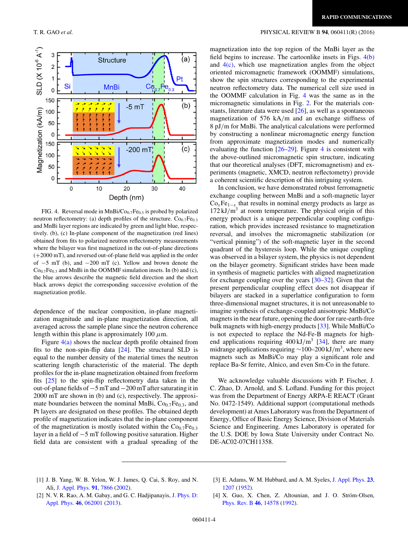

FIG. 4. Reversal mode in MnBi/Co<sub>0.7</sub>Fe<sub>0.3</sub> is probed by polarized neutron reflectometry: (a) depth profiles of the structure.  $Co_{0.7}Fe_{0.3}$ and MnBi layer regions are indicated by green and light blue, respectively. (b), (c) In-plane component of the magnetization (red lines) obtained from fits to polarized neutron reflectometry measurements where the bilayer was first magnetized in the out-of-plane directions (+2000 mT), and reversed out-of-plane field was applied in the order of −5 mT (b), and −200 mT (c). Yellow and brown denote the  $Co<sub>0.7</sub>Fe<sub>0.3</sub>$  and MnBi in the OOMMF simulation insets. In (b) and (c), the blue arrows describe the magnetic field direction and the short black arrows depict the corresponding successive evolution of the magnetization profile.

dependence of the nuclear composition, in-plane magnetization magnitude and in-plane magnetization direction, all averaged across the sample plane since the neutron coherence length within this plane is approximately 100 *μ*m.

Figure  $4(a)$  shows the nuclear depth profile obtained from fits to the non-spin-flip data [\[24\]](#page-6-0). The structural SLD is equal to the number density of the material times the neutron scattering length characteristic of the material. The depth profiles for the in-plane magnetization obtained from freeform fits [\[25\]](#page-6-0) to the spin-flip reflectometry data taken in the out-of-plane fields of −5 mT and −200 mT after saturating it in 2000 mT are shown in (b) and (c), respectively. The approximate boundaries between the nominal MnBi, Co<sub>0.7</sub>Fe<sub>0.3</sub>, and Pt layers are designated on these profiles. The obtained depth profile of magnetization indicates that the in-plane component of the magnetization is mostly isolated within the  $Co<sub>0.7</sub>Fe<sub>0.3</sub>$ layer in a field of −5 mT following positive saturation. Higher field data are consistent with a gradual spreading of the

#### <span id="page-5-0"></span>T. R. GAO *et al.* PHYSICAL REVIEW B **94**, 060411(R) (2016)

magnetization into the top region of the MnBi layer as the field begins to increase. The cartoonlike insets in Figs.  $4(b)$ and  $4(c)$ , which use magnetization angles from the object oriented micromagnetic framework (OOMMF) simulations, show the spin structures corresponding to the experimental neutron reflectometry data. The numerical cell size used in the OOMMF calculation in Fig. 4 was the same as in the micromagnetic simulations in Fig. [2.](#page-3-0) For the materials constants, literature data were used [\[26\]](#page-6-0), as well as a spontaneous magnetization of 576 kA*/*m and an exchange stiffness of 8 pJ*/*m for MnBi. The analytical calculations were performed by constructing a nonlinear micromagnetic energy function from approximate magnetization modes and numerically evaluating the function [\[26–29\]](#page-6-0). Figure 4 is consistent with the above-outlined micromagnetic spin structure, indicating that our theoretical analyses (DFT, micromagnetism) and experiments (magnetic, XMCD, neutron reflectometry) provide a coherent scientific description of this intriguing system.

In conclusion, we have demonstrated robust ferromagnetic exchange coupling between MnBi and a soft-magnetic layer  $Co<sub>x</sub>Fe<sub>1-x</sub>$  that results in nominal energy products as large as  $172 \text{ kJ/m}^3$  at room temperature. The physical origin of this energy product is a unique perpendicular coupling configuration, which provides increased resistance to magnetization reversal, and involves the micromagnetic stabilization (or "vertical pinning") of the soft-magnetic layer in the second quadrant of the hysteresis loop. While the unique coupling was observed in a bilayer system, the physics is not dependent on the bilayer geometry. Significant strides have been made in synthesis of magnetic particles with aligned magnetization for exchange coupling over the years [\[30–32\]](#page-6-0). Given that the present perpendicular coupling effect does not disappear if bilayers are stacked in a superlattice configuration to form three-dimensional magnet structures, it is not unreasonable to imagine synthesis of exchange-coupled anisotropic MnBi/Co magnets in the near future, opening the door for rare-earth-free bulk magnets with high-energy products [\[33\]](#page-6-0). While MnBi/Co is not expected to replace the Nd-Fe-B magnets for highend applications requiring  $400 \text{ kJ/m}^3$  [\[34\]](#page-6-0), there are many midrange applications requiring <sup>∼</sup>100–200 kJ*/*m3, where new magnets such as MnBi/Co may play a significant role and replace Ba-Sr ferrite, Alnico, and even Sm-Co in the future.

We acknowledge valuable discussions with P. Fischer, J. C. Zhao, D. Arnold, and S. Lofland. Funding for this project was from the Department of Energy ARPA-E REACT (Grant No. 0472-1549). Additional support (computational methods development) at Ames Laboratory was from the Department of Energy, Office of Basic Energy Science, Division of Materials Science and Engineering. Ames Laboratory is operated for the U.S. DOE by Iowa State University under Contract No. DE-AC02-07CH11358.

- [1] J. B. Yang, W. B. Yelon, W. J. James, Q. Cai, S. Roy, and N. Ali, [J. Appl. Phys.](http://dx.doi.org/10.1063/1.1451306) **[91](http://dx.doi.org/10.1063/1.1451306)**, [7866](http://dx.doi.org/10.1063/1.1451306) [\(2002\)](http://dx.doi.org/10.1063/1.1451306).
- [3] E. Adams, W. M. Hubbard, and A. M. Syeles, [J. Appl. Phys.](http://dx.doi.org/10.1063/1.1702032) **[23](http://dx.doi.org/10.1063/1.1702032)**, [1207](http://dx.doi.org/10.1063/1.1702032) [\(1952\)](http://dx.doi.org/10.1063/1.1702032).
- [2] [N. V. R. Rao, A. M. Gabay, and G. C. Hadjipanayis,](http://dx.doi.org/10.1088/0022-3727/46/6/062001) J. Phys. D: Appl. Phys. **[46](http://dx.doi.org/10.1088/0022-3727/46/6/062001)**, [062001](http://dx.doi.org/10.1088/0022-3727/46/6/062001) [\(2013\)](http://dx.doi.org/10.1088/0022-3727/46/6/062001).
- [4] X. Guo, X. Chen, Z. Altounian, and J. O. Ström-Olsen, [Phys. Rev. B](http://dx.doi.org/10.1103/PhysRevB.46.14578) **[46](http://dx.doi.org/10.1103/PhysRevB.46.14578)**, [14578](http://dx.doi.org/10.1103/PhysRevB.46.14578) [\(1992\)](http://dx.doi.org/10.1103/PhysRevB.46.14578).